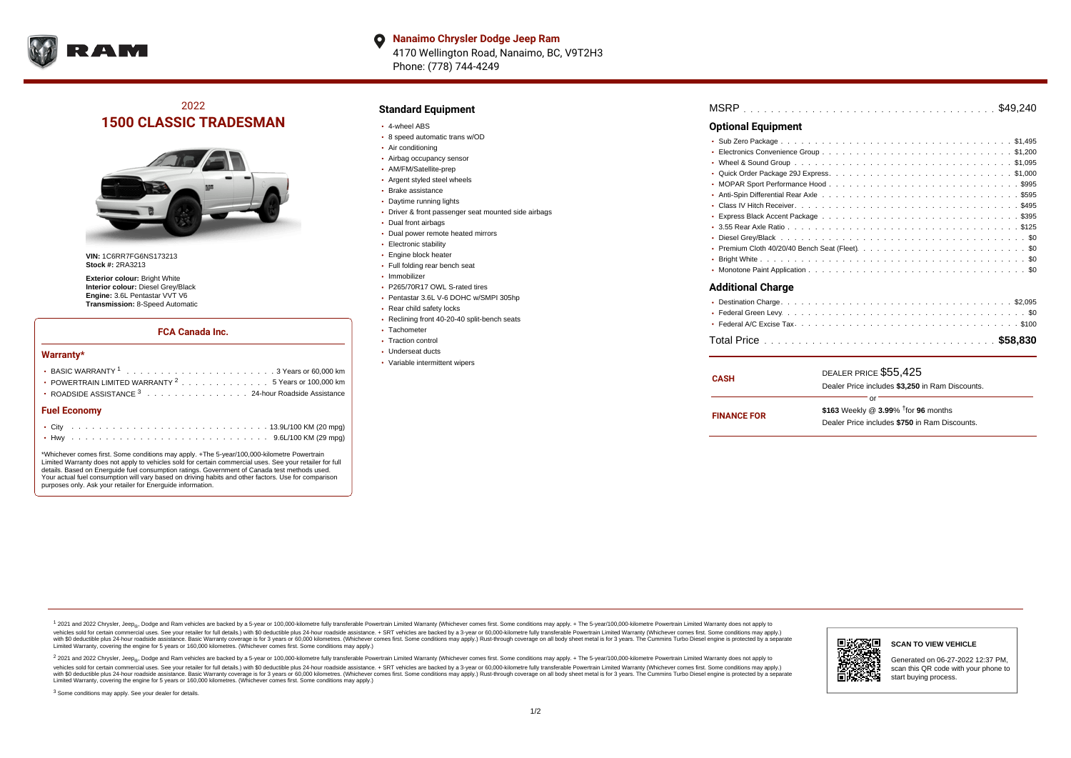

**Nanaimo Chrysler Dodge Jeep Ram**  $\bullet$ 4170 Wellington Road, Nanaimo, BC, V9T2H3 Phone: (778) 744-4249

# 2022 **1500 CLASSIC TRADESMAN**



**VIN:** 1C6RR7FG6NS173213 **Stock #:** 2RA3213

**Exterior colour:** Bright White **Interior colour:** Diesel Grey/Black **Engine:** 3.6L Pentastar VVT V6 **Transmission:** 8-Speed Automatic

#### **FCA Canada Inc.**

#### **Warranty\***

| POWERTRAIN LIMITED WARRANTY <sup>2</sup> 5 Years or 100,000 km<br>• ROADSIDE ASSISTANCE 3 24-hour Roadside Assistance |  |  |  |  |  |  |  |  |  |  |  |  |  |  |  |
|-----------------------------------------------------------------------------------------------------------------------|--|--|--|--|--|--|--|--|--|--|--|--|--|--|--|
| <b>Fuel Economy</b>                                                                                                   |  |  |  |  |  |  |  |  |  |  |  |  |  |  |  |
|                                                                                                                       |  |  |  |  |  |  |  |  |  |  |  |  |  |  |  |
|                                                                                                                       |  |  |  |  |  |  |  |  |  |  |  |  |  |  |  |

\*Whichever comes first. Some conditions may apply. +The 5-year/100,000-kilometre Powertrain Limited Warranty does not apply to vehicles sold for certain commercial uses. See your retailer for full details. Based on Energuide fuel consumption ratings. Government of Canada test methods used. Your actual fuel consumption will vary based on driving habits and other factors. Use for comparison purposes only. Ask your retailer for Energuide information.

### **Standard Equipment**

- 4-wheel ABS
- 8 speed automatic trans w/OD
- Air conditioning
- Airbag occupancy sensor
- AM/FM/Satellite-prep
- Argent styled steel wheels
- Brake assistance
- Daytime running lights
- Driver & front passenger seat mounted side airbags
- Dual front airbags
- Dual power remote heated mirrors
- Electronic stability
- Engine block heater
- Full folding rear bench seat
- Immobilizer
- P265/70R17 OWL S-rated tires
- Pentastar 3.6L V-6 DOHC w/SMPI 305hp
- Rear child safety locks
- Reclining front 40-20-40 split-bench seats
- Tachometer
- Traction control Underseat ducts
- 
- Variable intermittent wipers

| <b>MSRF</b> |  |  |  |  |  |  |  |  |  |  |  |  |  |  |  |  |  |  |  |  |  |  |  |  |  |  |  |  |  |  |  |  |  |  |  |  |  |  |
|-------------|--|--|--|--|--|--|--|--|--|--|--|--|--|--|--|--|--|--|--|--|--|--|--|--|--|--|--|--|--|--|--|--|--|--|--|--|--|--|
|-------------|--|--|--|--|--|--|--|--|--|--|--|--|--|--|--|--|--|--|--|--|--|--|--|--|--|--|--|--|--|--|--|--|--|--|--|--|--|--|

### **Optional Equipment**

| <b>Additional Charge</b> |  |
|--------------------------|--|
|                          |  |

| <b>CASH</b>        | DEALER PRICE \$55,425<br>Dealer Price includes \$3,250 in Ram Discounts.                                  |  |  |  |  |  |  |  |
|--------------------|-----------------------------------------------------------------------------------------------------------|--|--|--|--|--|--|--|
| <b>FINANCE FOR</b> | Ωr<br>\$163 Weekly @ $3.99\%$ <sup>†</sup> for 96 months<br>Dealer Price includes \$750 in Ram Discounts. |  |  |  |  |  |  |  |

<sup>1</sup> 2021 and 2022 Chrysler, Jeep<sub>®</sub>, Dodge and Ram vehicles are backed by a 5-year or 100,000-kilometre fully transferable Powertrain Limited Warranty (Whichever comes first. Some conditions may apply. + The 5-year/100,000 vehicles sold for certain commercial uses. See your retailer for full details.) with \$0 deductible plus 24 hour roadside assistance. + SRT vehicles are backed by a 3-year or 60,000-kilometre fully transferable Powertrain L versus and contract the mean of the contract of the contract with a contract with a contract the contract of the contract of the contract the contract of the contract of the contract of the contract of the contract of the Limited Warranty, covering the engine for 5 years or 160,000 kilometres. (Whichever comes first. Some conditions may apply.)

2 2021 and 2022 Chrysler, Jeep<sub>®</sub>, Dodge and Ram vehicles are backed by a 5-year or 100,000-kilometre fully transferable Powertrain Limited Warranty (Whichever comes first. Some conditions may apply. + The 5-year/100,000-k vehicles sold for certain commercial uses. See your retailer for full details.) with SO deductible plus 24-hour roadside assistance. + SRT vehicles are backed by a 3-year or 60.000-kilometre fully transferable Powertrain. with S0 deductible plus 24-hour roadside assistance. Basic Warranty coverage is for 3 years or 60,000 kilometres. (Whichever comes first. Some conditions may apply.) Rust-through coverage on all body sheet metal is for 3 y



#### **SCAN TO VIEW VEHICLE**

Generated on 06-27-2022 12:37 PM, scan this QR code with your phone to start buying process.

<sup>3</sup> Some conditions may apply. See your dealer for details.